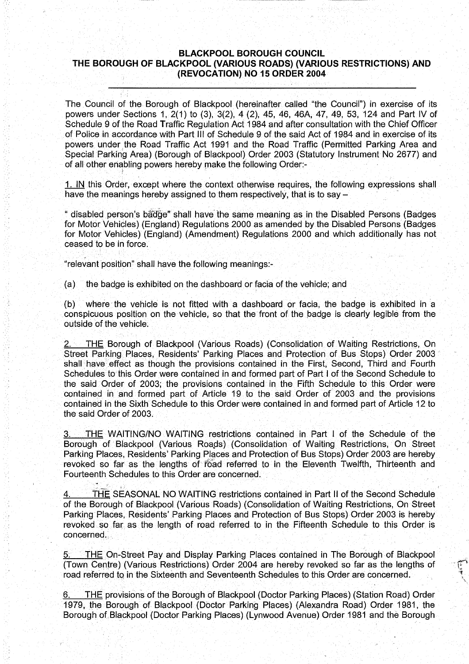### BLACKPOOL BOROUGH COUNCIL THE BOROUGH OF BLACKPOOL (VARIOUS ROADS) (VARIOUS RESTRICTIONS) AND (REVOCATION) NO <sup>15</sup> ORDER 2004-

The Council of the Borough of Blackpool (hereinafter called "the Council") in exercise of its powers under Sections 1, 2(1) to (3), 3(2), 4 (2), 45, 46, 46A, 47, 49, 53, 124 and Part IV of Schedule 9 of the Road Traffic Regulation Act 1984 and after consultation with the Chief Officer of Police in accordance with Part III of Schedule 9 of the said Act of 1984 and in exercise of its powers under the Road Traffic Act 1991 and the Road Traffic (Permitted Parking Area and Special Parking Area) (Borough of Blackpool) Order 2003 (Statutory Instrument No 2677) and of all other enabling powers hereby make the following Order:-

<sup>1</sup> . IN this Order, except where the context otherwise requires, the following expressions shall have the meanings hereby assigned to them respectively, that is to say  $-$ 

"disabled person's badge" shall have' the same meaning as in the Disabled Persons (Badges for Motor Vehicles) (England) Regulations 2000 as amended by the Disabled Persons (Badges for Motor Vehicles) (England) (Amendment) Regulations 2000 and which additionally has not ceased to be in force .

"relevant position" shall have the following meanings:-

(a) the badge is exhibited on the dashboard or facia of the vehicle; and

 $(b)$  where the vehicle is not fitted with a dashboard or facia, the badge is exhibited in a conspicuous position on the vehicle, so that the front of the badge is clearly legible from the outside of the vehicle.

**THE Borough of Blackpool (Various Roads) (Consolidation of Waiting Restrictions, On** Street Parking Places, Residents' Parking Places and Protection of Bus Stops) Order 2003 shall have effect as though the provisions contained in the First, Second, Third and Fourth Schedules to this Order were contained in and formed part of Part I of the Second Schedule to the said Order of 2003; the provisions contained in the Fifth Schedule to this Order were contained in and formed part of Article 19 to the said Order of 2003 and the provisions contained in the Sixth Schedule to this Order were contained in and formed part of Article 12 to the said Order of 2003.

3. THE WAITING/NO WAITING restrictions contained in Part I of the Schedule of the Borough of Blackpool (Various Roads) (Consolidation of Waiting Restrictions, On Street Parking Places, Residents' Parking Places and Protection of Bus Stops) Order 2003 are hereby revoked so far as the lengths of "road referred to in the Eleventh Twelfth, Thirteenth and Fourteenth Schedules to this Order are concerned.

THE SEASONAL NO WAITING restrictions contained in Part II of the Second Schedule of the Borough of Blackpool (Various Roads) (Consolidation of Waiting Restrictions, On Street Parking Places, Residents' Parking Places and Protection of Bus Stops) Order 2003 is hereby revoked so far, as the length of road referred to in the Fifteenth Schedule to this Order is concerned.

THE On-Street Pay and Display Parking Places contained in The Borough of Blackpool (Town Centre) (Various Restrictions) Order 2004 are hereby revoked so far as the lengths of road referred to in the Sixteenth and Seventeenth Schedules to this Order are concerned.

THE provisions of the Borough of Blackpool (Doctor Parking Places) (Station Road) Order 1979, the Borough of Blackpool (Doctor Parking Places) (Alexandra Road) Order 1981, the Borough of Blackpool (Doctor Parking Places) (Lynwood Avenue) Order 1981 and the Borough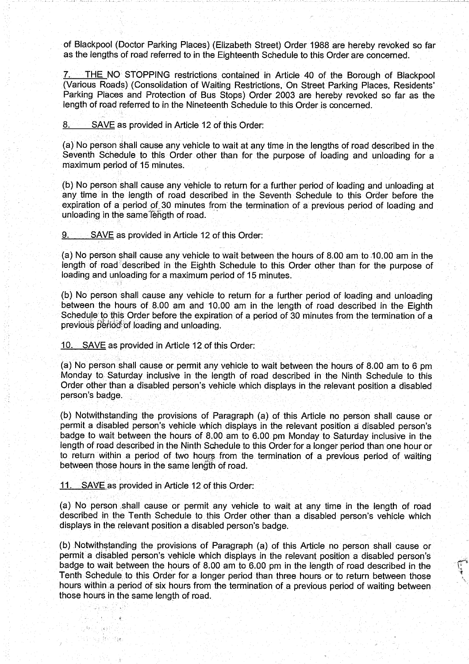of Blackpool (Doctor Parking Places) (Elizabeth Street) Order 1988 are hereby revoked so far as the lengths of road referred to in the Eighteenth Schedule to this Order are concerned.

7. THE NO STOPPING restrictions contained in Article 40 of the Borough of Blackpool (Various Roads) (Consolidation of Waiting Restrictions, On Street Parking Places, Residents' Parking Places and Protection of Bus Stops) Order 2003 are hereby revoked so far as the length of road referred to in the Nineteenth Schedule to this Order is concerned.

8. SAVE as provided in Article 12 of this Order:

(a) No person shall cause any vehicle to wait at any time in the lengths of road described in the Seventh Schedule to this Order other than for the purpose of loading and unloading for a maximum period of 15 minutes:

(b) No person shall cause any vehicle to return for a further period of loading and unloading at any time in the length of road described in the Seventh Schedule to this Order before the expiration of a period of.30 minutes from'the termination of a previous period of loading and unloading in the same length of road.

SAVE as provided in Article 12 of this Order: 9.

(a) No person shall cause any vehicle to wait between the hours of 8.00 am to,10.00 am in the length of road described in the Eighth Schedule to this Order other than for the purpose of loading and unloading for a maximum period of 15 minutes.

(b) No person shall cause any vehicle to return for a further period of loading and unloading between the hours of 8.00 am and 10.00 am in the length of road described in the Eighth Schedule to this Order before the expiration of a period of 30 minutes from the termination of a previous period of loading and unloading.

10. - SAVE as provided in Article 12 of this Order:

(a) No person shall cause or permit any vehicle to wait between the hours of 8.00 am to 6 pm Monday to Saturday inclusive in the length of road described in the Ninth Schedule to this Order other than a disabled person's vehicle which displays in the relevant position a disabled person's badge.

(b) Notwithstanding the provisions of Paragraph (a) of this Article no person shall cause or permit a disabled person's vehicle which displays in the relevant position a disabled person's badge to wait between the hours of 8.00 am to 6.00 pm Monday to Saturday inclusive in the length of road described in the Ninth Schedule to this Order for a longer period than one hour or to return'within a period of two hours from the termination of a previous period of waiting between those hours in the same length of road.

<sup>11</sup> . SAVE as provided in Article 12 of this Order:

o, šyv

 $\left\{ \left. \right\vert \left. \right\vert \left. \right\vert \right\}$ tra su Brige

(a) No person shall cause or permit any vehicle to wait at any time in the length of road described in the Tenth Schedule to this Order other than a disabled person's vehicle which displays in the relevant position a disabled person's badge.

(b) Notwithstanding the provisions of Paragraph (a) of this Article no person shall cause or permit a disabled person's vehicle which displays in the relevant position a disabled person's badge to wait between the hours of <sup>8</sup> .00 am to 6.00 pm in the length of road described in the Tenth Schedule to this Order for a longer period than three hours. or to return between those hours within a period of six hours from the termination of a previous period of waiting between those hours in the same length of road.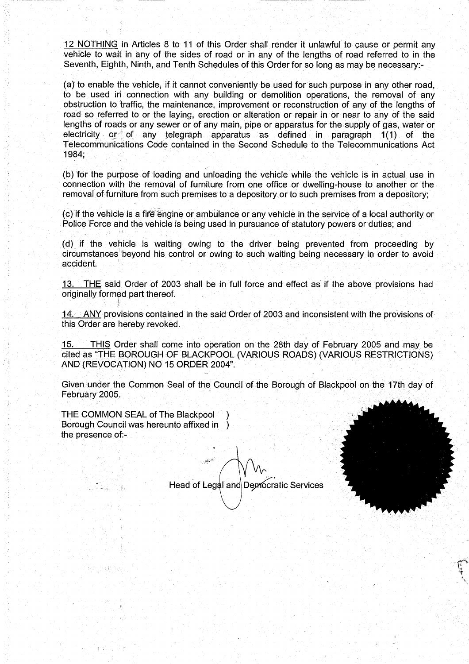12 NOTHING in Articles 8 to <sup>11</sup> of this Order shall render it unlawful to cause or permit any vehicle to wait in any of the sides of road or in any of the lengths of road referred to in the Seventh, Eighth, Ninth, and Tenth Schedules of this Order for so long as may be necessary:-

(a)' to enable the vehicle, if it cannot conveniently be used for such purpose in any other road, to be used in connection with any building or demolition operations, the removal of any obstruction to traffic, the maintenance, improvement or reconstruction of any of the lengths of road so referred to or the laying, erection or alteration or repair in or near to any of the said lengths of roads or any sewer or of any main, pipe or apparatus for the supply of gas, water or electricity or of any telegraph apparatus as defined in paragraph  $1(1)$  of the Telecommunications Code contained in the Second Schedule to the Telecommunications Act 1984;

(b) for the purpose of loading and unloading the vehicle while the vehicle is in actual use in connection with the removal of furniture from one office or dwelling-house to another or the removal of furniture from such premises to a depository or to such premises from a depository ;

(c) if the vehicle is a fire engine or ambulance or any vehicle in the service of a local authority or Police Force and the vehicle is being used in pursuance of statutory powers or duties; and

(d) if the vehicle is waiting owing to the driver being prevented from proceeding by circumstances beyond his control or owing to such waiting being necessary in order to avoid accident:

13. THE said Order of 2003 shall be in full force and effect as if the above provisions had originally formed part thereof.

14. ANY provisions contained in the said Order of 2003 and inconsistent with the provisions of this Order are hereby revoked.

15. THIS Order shall come into operation on the 28th day of February 2005 and may be cited as "THE BOROUGH OF BLACKPOOL (VARIOUS ROADS) (VARIOUS RESTRICTIONS) AND (REVOCATION) NO <sup>15</sup> ORDER 2004":

Given under the Common Seal of the Council of the Borough of Blackpool on the 17th day of February 2005.

THE COMMON SEAL of The Blackpool Borough Council was hereunto affixed in ) the presence of:-

Head of Legal and Democratic Services



的进入社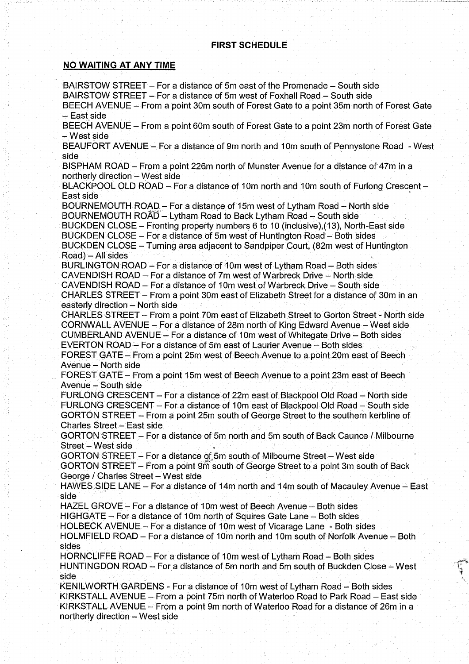# **FIRST SCHEDULE**

### NO WAITING AT ANY TIME

BAIRSTOW STREET - For a distance of 5m east of the Promenade - South side BAIRSTOW STREET-For a distance of 5m west of Foxhall Road- South side

BEECH AVENUE - From a point 30m south of Forest Gate to a point 35m north of Forest Gate - East side

BEECH AVENUE - From a point 60m south of Forest Gate to a point 23m north of Forest Gate West side

BEAUFORT AVENUE – For a distance of 9m north and 10m south of Pennystone Road - West side

BISPHAM ROAD – From a point 226m north of Munster Avenue for a distance of 47m in a  $northerly$  direction  $-$  West side

BLACKPOOL OLD ROAD - For a distance of 10m north and 10m south of Furlong Crescent -East side `

BOURNEMOUTH ROAD - For <sup>a</sup> distance of 15m west of Lytham Road - North side BOURNEMOUTH ROAD - Lytham Road to Back Lytham Road - South side BUCKDEN CLOSE - Fronting property numbers 6 to <sup>10</sup> (inclusive),(13), North-East side BUCKDEN CLOSE - For a distance of 5m west of Huntington Road - Both sides

BUCKDEN CLOSE - Turning area adjacent to Sandpiper Court, (82m west of Huntington  $Road$   $-$  All sides

BURLINGTON ROAD - For a distance of 10m west of Lytham Road - Both sides CAVENDISH ROAD - For a distance of 7m west of Warbreck Drive - North side CAVENDISH ROAD - For a distance of 10m west of Warbreck Drive - South side CHARLES STREET - From a point 30m east of Elizabeth Street for a distance of 30m in an

easterly direction - North side

CHARLES STREET - From a point 70m east of Elizabeth Street to Gorton Street - North side CORNWALL AVENUE - For a distance of 28m north of King Edward Avenue - West side CUMBERLAND AVENUE - For a distance of I Om'west of Whitegate Drive - Both sides' EVERTON ROAD - For a distance of 5m east of Laurier Avenue - Both sides

FOREST GATE - From a point 25m west of Beech Avenue to a point 20m east of Beech Avenue - North side

FOREST GATE - From a point 15m west of Beech Avenue to a point 23m east of Beech Avenue - South side

FURLONG CRESCENT - For a distance of 22m east of Blackpool Old Road - North side FURLONG CRESCENT - For a distance of 10m east of Blackpool Old Road - South side GORTON STREET - From a point 25m south of George Street to the southern kerbline of Charles Street - East side

GORTON STREET - For a distance of 5m north and 5m south of Back Caunce / Milbourne Street - West side

GORTON STREET - For <sup>a</sup> distance of 5m south of Milbourne Street- West side

GORTON STREET - From a point 9m south of George Street to a point 3m south of Back George / Charles Street - West side

HAWES SIDE LANE - For a distance of 14m north and 14m south of Macauley Avenue - East side

HAZEL GROVE - For a distance of 10m west of Beech Avenue - Both sides

HIGHGATE - For a distance of 10m north of Squires Gate Lane - Both sides

HOLBECK AVENUE - For a distance of 10m west of Vicarage Lane - Both sides HOLMFIELD ROAD- For a distance of 10m north and <sup>1</sup> Om south of Norfolk Avenue - Both sides

HORNCLIFFE ROAD – For a distance of 10m west of Lytham Road – Both sides HUNTINGDON, ROAD - For a distance of 5m north and 5m south of Buckden Close - West side

KENILWORTH GARDENS - For a distance of 10m west of Lytham Road- Both sides KIRKSTALL AVENUE - From a point 75m north of Waterloo Road to Park Road - East side KIRKSTALL AVENUE - From a point 9m north of Waterloo Road for a distance of 26m in a northerly direction- West side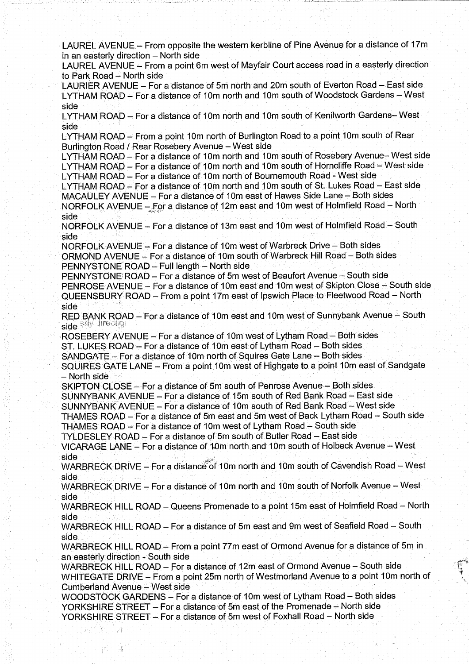LAUREL AVENUE - From opposite the western kerbline of Pine Avenue for a distance of 17m in an easterly direction - North side

LAUREL AVENUE - From a point 6m west of Mayfair Court access road in a easterly direction to Park Road - North side

LAURIER AVENUE – For a distance of 5m north and 20m south of Everton Road – East side LYTHAM ROAD - For a distance of 10m north and 10m south of Woodstock Gardens - West side

LYTHAM ROAD - For a distance of 10m north and 10m south of Kenilworth Gardens-West side

LYTHAM ROAD - From a point 10m north of Burlington Road to a point 10m south of Rear Burlington Road / Rear Rosebery Avenue - West side

LYTHAM ROAD - For a distance of 10m north and 10m south of Rosebery Avenue-West side LYTHAM ROAD - For a distance of 10m north and 10m south of Horncliffe Road - West side

LYTHAM ROAD - For a distance of 10m north of Bournemouth Road - West side

LYTHAM ROAD - For a distance of 10m north and 10m south of St. Lukes Road - East side MACAULEY AVENUE - For a distance of 10m east of Hawes Side Lane - Both sides

NORFOLK AVENUE - For a distance of 12m east and 10m west of Holmfield Road - North side

NORFOLK AVENUE - For a distance of 13m east and 10m west of Holmfield Road - South side

NORFOLK AVENUE- For a distance of 10m west of Warbreck Drive = Both sides ORMOND AVENUE - For a distance of 10m south of Warbreck Hill Road- Both sides PENNYSTONE ROAD - Full length - North side

PENNYSTONE ROAD - For a distance of 5m west of Beaufort Avenue - South side PENROSE AVENUE - For a distance of 10m east and 10m west of Skipton Close - South side QUEENSBURY ROAD - From a point 17m east of Ipswich Place to Fleetwood Road - North side

RED BANK ROAD - For a distance of 10m east and 10m west of Sunnybank Avenue - South side ady lirection

ROSEBERY AVENUE - For a distance of 10m west of Lytham Road - Both sides

ST. LUKES ROAD - For a distance of 10m east of Lytham Road - Both sides

SANDGATE - For a distance of 10m north of Squires Gate Lane - Both sides

SQUIRES GATE LANE - From a point 10m west of Highgate to a point 10m east of Sandgate North side,

SKIPTON CLOSE - For a distance of 5m south of Penrose Avenue - Both sides

SUNNYBANK AVENUE -For a distance of 15m south of Red Bank Road - East side

SUNNYBANK AVENUE - For a distance of 10m south of Red Bank Road - West side

THAMES ROAD - For a distance of 5m east and 5m west of Back Lytham Road - South side

THAMES ROAD - For a distance of 10m west of Lytham Road - South side

TYLDESLEY ROAD - For a distance of 5m south of Butler Road - East side

VICARAGE LANE - For a distance of 10m north and 10m south of Holbeck Avenue - West<br>side

side<br>WARBRECK DRIVE – For a distance of 10m north and 10m south of Cavendish Road – West side

WARBRECK: DRIVE - For a distance of 10m north and 10m south of Norfolk Avenue - West side

WARBRECK HILL ROAD - Queens Promenade to a point 15m east of Holmfield Road - North side

WARBRECK HILL ROAD - For a distance of 5m east and 9m west of Seafield Road - South side

WARBRECK HILL ROAD-- From <sup>a</sup> point 77m east of Ormond Avenue for <sup>a</sup> distance of 5m in an easterly direction - South side

WARBRECK HILL ROAD – For a distance of 12m east of Ormond Avenue – South side WHITEGATE DRIVE - From a point 25m north of Westmorland Avenue to a point 10m north of Cumberland Avenue - West side

WOODSTOCK GARDENS - For a distance of 1Om west of Lytham Road - Both sides YORKSHIRE STREET - For a distance of 5m east of the Promenade - North side YORKSHIRE STREET - For a distance of 5m west of Foxhall Road - North side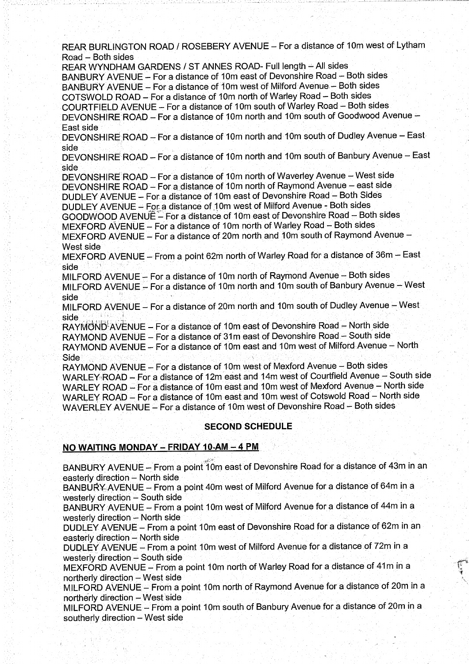REAR BURLINGTON ROAD / ROSEBERY AVENUE - For a distance of 10m west of Lytham Road – Both sides

REAR WYNDHAM GARDENS / ST ANNES ROAD- Full length - All sides BANBURY AVENUE - For a distance of 10m east of Devonshire Road - Both sides BANBURY AVENUE - For a distance of 10m west of Milford Avenue - Both sides COTSWOLD ROAD - For <sup>a</sup> distance of <sup>1</sup> Om north of Warley Road'- Both sides COURTFIELD AVENUE -'For <sup>a</sup> distance of 10m south of Warley Road - Both sides DEVONSHIRE ROAD - For a distance of 10m north and 10m south of Goodwood Avenue -East side

DEVONSHIRE ROAD - For a distance of 10m north and 10m south of Dudley Avenue - East side

DEVONSHIRE ROAD - For a distance of 10m north and 10m south of Banbury Avenue - East side

DEVONSHIRE ROAD - For a distance of 10m north of Waverley Avenue - West side DEVONSHIRE ROAD - For a distance of 10m north of Raymond Avenue - east side DUDLEY AVENUE - For a distance of 10m east of Devonshire Road - Both Sides

DUDLEY AVENUE - For a distance of 10m west of Milford Avenue - Both sides GOODWOOD AVENUE - For <sup>a</sup> distance of <sup>1</sup> Om east of Devonshire Road - Both sides

MEXFORD AVENUE - For a distance of 10m north of Warley Road - Both sides

MEXFORD AVENUE - For a distance of 20m north and 10m south of Raymond Avenue -West side

MEXFORD AVENUE - From a point 62m north of Warley Road for a distance of 36m - East side

MILFORD AVENUE- For <sup>a</sup> distance of 10m north of Raymond Avenue - Both sides MILFORD AVENUE - For a distance of 10m north and 10m south of Banbury Avenue - West side

MILFORD AVENUE - For a distance of 20m north and 10m south of Dudley Avenue - West side

RAYMOND AVENUE - For a distance of 10m east of Devonshire Road - North side RAYMOND AVENUE - For a distance of 31m east of Devonshire Road - South side RAYMOND AVENUE - For a distance of 10m east and 10m west of Milford Avenue - North<br>Side Side

RAYMOND AVENUE- For <sup>a</sup> distance of <sup>1</sup> Om west of Mexford Avenue - Both sides WARLEY ROAD - For a distance of 12m east and 14m west of Courtfield Avenue - South side WARLEY ROAD - For a distance of 10m east and 10m west of Mexford Avenue - North side WARLEY ROAD - For a distance of 10m east and 10m west of Cotswold Road - North side WAVERLEY AVENUE - For a distance of 10m west of Devonshire Road - Both sides

## **SECOND SCHEDULE**

# NO WAITING MONDAY - FRIDAY 10-AM - 4 PM

BANBURY AVENUE - From a point 10m east of Devonshire Road for a distance of 43m in an easterly direction - North side

BANBURY-AVENUE - From a point 40m west of Milford Avenue for <sup>a</sup> distance of 64m in a westerly direction  $-$  South side

BANBURY AVENUE - From a point 10m west of Milford Avenue for a distance of 44m in a westerly direction - North side

DUDLEY AVENUE - From <sup>a</sup> point 10m east of Devonshire Road for a distance of 62m in an easterly direction - North side

DUDLEY AVENUE - From a point 10m west of Milford Avenue for a distance of 72m in a westerly direction  $-$  South side

MEXFORD AVENUE - From a point 10m north of Warley Road for a distance of 41m in a northerly direction - West side

MILFORD AVENUE - From a point 10m north of Raymond Avenue for a distance of 20m in a northerly direction - West side

MILFORD AVENUE - From a point 10m south of Banbury Avenue for a distance of 20m in a southerly direction - West side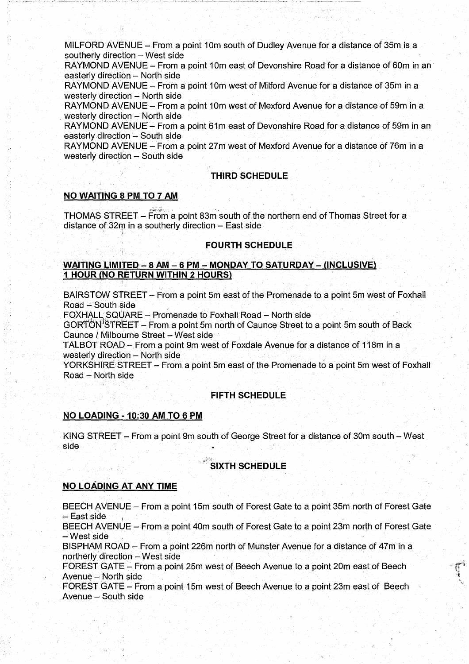MILFORD AVENUE - From a point 10m south of Dudley Avenue for a distance of 35m is a southerly direction - West side

RAYMOND AVENUE- From a point 10m east of Devonshire Road for <sup>a</sup> distance of 60m in an easterly direction - North side

RAYMOND AVENUE - From a point 10m west of Milford Avenue for a distance of 35m in a westerly direction - North side

RAYMOND AVENUE - From a point 10m west of Mexford Avenue for a distance of 59m in a westerly direction - North side

RAYMOND AVENUE - From a point 61m east of Devonshire Road for a distance of 59m in an easterly direction - South side

RAYMOND AVENUE - From a point 27m west of Mexford Avenue for a distance of 76m in a westerly direction - South side

### **THIRD SCHEDULE**

### NO WAITING 8 PM TO 7 AM

THOMAS STREET - From a point 83m south of the northern end of Thomas Street for a distance of 32m in a southerly direction- East side

#### FOURTH SCHEDULE

### WAITING LIMITED - 8 AM - 6 PM - MONDAY TO SATURDAY - (INCLUSIVE) 1, HOUR (NO RETURN WITHIN 2 HOURS)

BAIRSTOW STREET - From a point 5m east of the Promenade to a point 5m west of Foxhall Road  $-$  South side

FOXHALL SQUARE - Promenade to Foxhall Road - North side

GORTON STREET - From a point 5m north of Caunce Street to a point 5m south of Back Caunce / Milbourne Street - West side

TALBOT ROAD -From a point 9m west of Foxdale Avenue for a distance of 118m in a westerly direction - North side

YORKSHIRE STREET- From a point 5m east of the Promenade to a point 5m west of Foxhall Road - North side

#### **FIFTH SCHEDULE**

#### NO LOADING - 10:30 AM TO 6 PM

KING STREET - From a point 9m south of George Street for a distance of 30m south - West side

## **SIXTH SCHEDULE**

#### NO LOADING AT ANY TIME

BEECH AVENUE- From a point 15m south of Forest Gate to a point 35m north of Forest Gate – East side

BEECH AVENUE - From a point 40m south of Forest Gate to a point 23m north of Forest Gate West side

BISPHAM ROAD -From a point 226m north of Munster Avenue for a distance of 47m in a northerly direction - West side

FOREST GATE - From <sup>a</sup> point 25m west of Beech Avenue to <sup>a</sup> point 20m east of Beech Avenue - North side

FOREST GATE - From a point 15m west of Beech Avenue to a point' 23m east of Beech Avenue - South side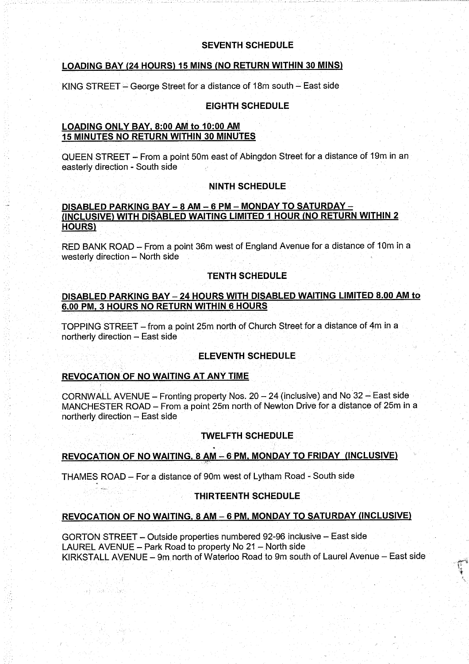## SEVENTH SCHEDULE

## LOADING BAY (24 HOURS) 15 MINS (NO RETURN WITHIN 30 MINS)

KING STREET - George Street for a distance of 18m south - East side

## EIGHTH SCHEDULE

#### LOADING ONLY BAY, 8:00 AM to 10:00 AM <sup>15</sup> MINUTES NO RETURN WITHIN 30 MINUTES

QUEEN STREET - From <sup>a</sup> point 50m east of Abingdon Street for <sup>a</sup> distance of 19m in an easterly direction - South side

## NINTH SCHEDULE

### DISABLED PARKING BAY - 8 AM - 6 PM - MONDAY TO SATURDAY -(INCLUSIVE) WITH DISABLED WAITING LIMITED <sup>1</sup> HOUR (NO RETURN WITHIN <sup>2</sup> HOURS)

RED BANK ROAD - From a point 36m west of England Avenue for a distance of 10m in a westerly direction - North side

## **TENTH SCHEDULE**

## DISABLED PARKING BAY - 24 HOURS WITH DISABLED WAITING LIMITED 8.00 AM to 6.00 PM, 3 HOURS NO RETURN WITHIN 6 HOURS

TOPPING STREET- from a point 25m north of Church Street for a distance of 4m in a northerly direction - East side

## **ELEVENTH SCHEDULE**

#### REVOCATION OF NO WAITING AT ANY TIME

2008年1月

CORNWALL AVENUE - Fronting property Nos.  $20-24$  (inclusive) and No 32 - East side MANCHESTER ROAD - From a point 25m north of Newton Drive for a distance of 25m in a northerly, direction - East side

## **TWELFTH SCHEDULE**

## REVOCATION OF NO WAITING, <sup>8</sup> AM - <sup>6</sup> PM, MONDAY TO FRIDAY (INCLUSIVE)

THAMES ROAD- For <sup>a</sup> distance of 90m west of Lytham Road - South side

## THIRTEENTH SCHEDULE

## REVOCATION OF NO WAITING, <sup>8</sup> AM-- <sup>6</sup> PM, MONDAY TO SATURDAY (INCLUSIVE)

GORTON STREET - Outside properties numbered 92-96 inclusive -East side LAUREL AVENUE - Park Road to property No 21 - North side KIRKSTALL AVENUE - 9m north of Waterloo Road to 9m south of Laurel Avenue - East side